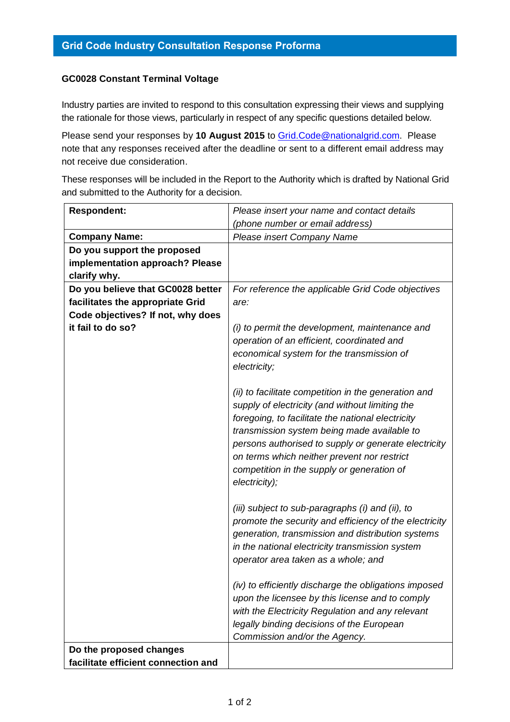## **GC0028 Constant Terminal Voltage**

Industry parties are invited to respond to this consultation expressing their views and supplying the rationale for those views, particularly in respect of any specific questions detailed below.

Please send your responses by **10 August 2015** to [Grid.Code@nationalgrid.com.](mailto:Grid.Code@nationalgrid.com) Please note that any responses received after the deadline or sent to a different email address may not receive due consideration.

These responses will be included in the Report to the Authority which is drafted by National Grid and submitted to the Authority for a decision.

| <b>Respondent:</b>                  | Please insert your name and contact details                                                                                                                                                                                                                                                                                                                                                                                           |
|-------------------------------------|---------------------------------------------------------------------------------------------------------------------------------------------------------------------------------------------------------------------------------------------------------------------------------------------------------------------------------------------------------------------------------------------------------------------------------------|
|                                     | (phone number or email address)                                                                                                                                                                                                                                                                                                                                                                                                       |
| <b>Company Name:</b>                | Please insert Company Name                                                                                                                                                                                                                                                                                                                                                                                                            |
| Do you support the proposed         |                                                                                                                                                                                                                                                                                                                                                                                                                                       |
| implementation approach? Please     |                                                                                                                                                                                                                                                                                                                                                                                                                                       |
| clarify why.                        |                                                                                                                                                                                                                                                                                                                                                                                                                                       |
| Do you believe that GC0028 better   | For reference the applicable Grid Code objectives                                                                                                                                                                                                                                                                                                                                                                                     |
| facilitates the appropriate Grid    | are:                                                                                                                                                                                                                                                                                                                                                                                                                                  |
| Code objectives? If not, why does   |                                                                                                                                                                                                                                                                                                                                                                                                                                       |
| it fail to do so?                   | (i) to permit the development, maintenance and                                                                                                                                                                                                                                                                                                                                                                                        |
|                                     | operation of an efficient, coordinated and                                                                                                                                                                                                                                                                                                                                                                                            |
|                                     | economical system for the transmission of                                                                                                                                                                                                                                                                                                                                                                                             |
|                                     | electricity;                                                                                                                                                                                                                                                                                                                                                                                                                          |
|                                     | (ii) to facilitate competition in the generation and<br>supply of electricity (and without limiting the<br>foregoing, to facilitate the national electricity<br>transmission system being made available to<br>persons authorised to supply or generate electricity<br>on terms which neither prevent nor restrict<br>competition in the supply or generation of<br>electricity);<br>(iii) subject to sub-paragraphs (i) and (ii), to |
|                                     | promote the security and efficiency of the electricity                                                                                                                                                                                                                                                                                                                                                                                |
|                                     | generation, transmission and distribution systems                                                                                                                                                                                                                                                                                                                                                                                     |
|                                     | in the national electricity transmission system                                                                                                                                                                                                                                                                                                                                                                                       |
|                                     | operator area taken as a whole; and                                                                                                                                                                                                                                                                                                                                                                                                   |
|                                     | (iv) to efficiently discharge the obligations imposed<br>upon the licensee by this license and to comply<br>with the Electricity Regulation and any relevant                                                                                                                                                                                                                                                                          |
|                                     | legally binding decisions of the European                                                                                                                                                                                                                                                                                                                                                                                             |
|                                     | Commission and/or the Agency.                                                                                                                                                                                                                                                                                                                                                                                                         |
| Do the proposed changes             |                                                                                                                                                                                                                                                                                                                                                                                                                                       |
| facilitate efficient connection and |                                                                                                                                                                                                                                                                                                                                                                                                                                       |